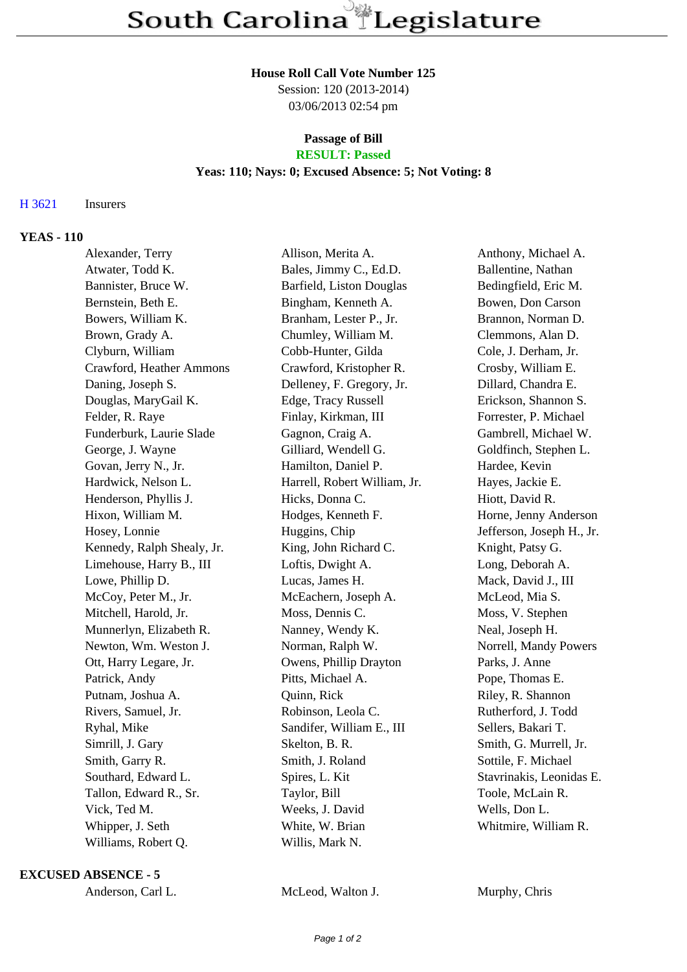#### **House Roll Call Vote Number 125**

Session: 120 (2013-2014) 03/06/2013 02:54 pm

# **Passage of Bill**

# **RESULT: Passed**

## **Yeas: 110; Nays: 0; Excused Absence: 5; Not Voting: 8**

### H 3621 Insurers

### **YEAS - 110**

| Alexander, Terry           | Allison, Merita A.           | Anthony, Michael A.       |
|----------------------------|------------------------------|---------------------------|
| Atwater, Todd K.           | Bales, Jimmy C., Ed.D.       | Ballentine, Nathan        |
| Bannister, Bruce W.        | Barfield, Liston Douglas     | Bedingfield, Eric M.      |
| Bernstein, Beth E.         | Bingham, Kenneth A.          | Bowen, Don Carson         |
| Bowers, William K.         | Branham, Lester P., Jr.      | Brannon, Norman D.        |
| Brown, Grady A.            | Chumley, William M.          | Clemmons, Alan D.         |
| Clyburn, William           | Cobb-Hunter, Gilda           | Cole, J. Derham, Jr.      |
| Crawford, Heather Ammons   | Crawford, Kristopher R.      | Crosby, William E.        |
| Daning, Joseph S.          | Delleney, F. Gregory, Jr.    | Dillard, Chandra E.       |
| Douglas, MaryGail K.       | Edge, Tracy Russell          | Erickson, Shannon S.      |
| Felder, R. Raye            | Finlay, Kirkman, III         | Forrester, P. Michael     |
| Funderburk, Laurie Slade   | Gagnon, Craig A.             | Gambrell, Michael W.      |
| George, J. Wayne           | Gilliard, Wendell G.         | Goldfinch, Stephen L.     |
| Govan, Jerry N., Jr.       | Hamilton, Daniel P.          | Hardee, Kevin             |
| Hardwick, Nelson L.        | Harrell, Robert William, Jr. | Hayes, Jackie E.          |
| Henderson, Phyllis J.      | Hicks, Donna C.              | Hiott, David R.           |
| Hixon, William M.          | Hodges, Kenneth F.           | Horne, Jenny Anderson     |
| Hosey, Lonnie              | Huggins, Chip                | Jefferson, Joseph H., Jr. |
| Kennedy, Ralph Shealy, Jr. | King, John Richard C.        | Knight, Patsy G.          |
| Limehouse, Harry B., III   | Loftis, Dwight A.            | Long, Deborah A.          |
| Lowe, Phillip D.           | Lucas, James H.              | Mack, David J., III       |
| McCoy, Peter M., Jr.       | McEachern, Joseph A.         | McLeod, Mia S.            |
| Mitchell, Harold, Jr.      | Moss, Dennis C.              | Moss, V. Stephen          |
| Munnerlyn, Elizabeth R.    | Nanney, Wendy K.             | Neal, Joseph H.           |
| Newton, Wm. Weston J.      | Norman, Ralph W.             | Norrell, Mandy Powers     |
| Ott, Harry Legare, Jr.     | Owens, Phillip Drayton       | Parks, J. Anne            |
| Patrick, Andy              | Pitts, Michael A.            | Pope, Thomas E.           |
| Putnam, Joshua A.          | Quinn, Rick                  | Riley, R. Shannon         |
| Rivers, Samuel, Jr.        | Robinson, Leola C.           | Rutherford, J. Todd       |
| Ryhal, Mike                | Sandifer, William E., III    | Sellers, Bakari T.        |
| Simrill, J. Gary           | Skelton, B. R.               | Smith, G. Murrell, Jr.    |
| Smith, Garry R.            | Smith, J. Roland             | Sottile, F. Michael       |
| Southard, Edward L.        | Spires, L. Kit               | Stavrinakis, Leonidas E.  |
| Tallon, Edward R., Sr.     | Taylor, Bill                 | Toole, McLain R.          |
| Vick, Ted M.               | Weeks, J. David              | Wells, Don L.             |
| Whipper, J. Seth           | White, W. Brian              | Whitmire, William R.      |
| Williams, Robert Q.        | Willis, Mark N.              |                           |
|                            |                              |                           |

#### **EXCUSED ABSENCE - 5**

| Anderson, Carl L. |  |
|-------------------|--|
|-------------------|--|

McLeod, Walton J. Murphy, Chris